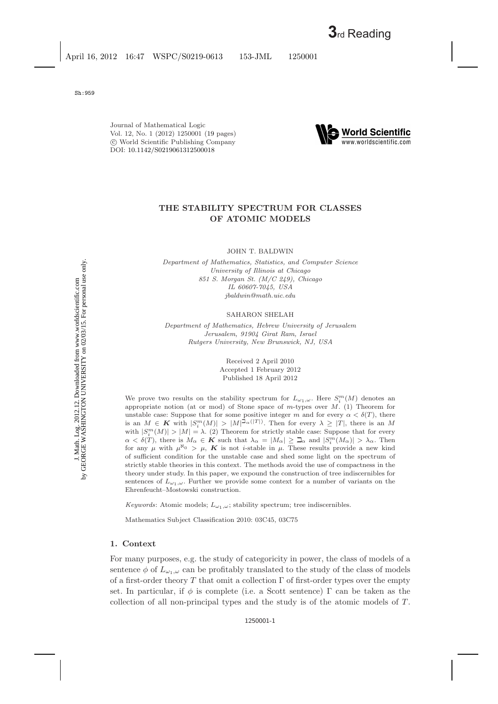Journal of Mathematical Logic Vol. 12, No. 1 (2012) 1250001 [\(19](#page-17-0) pages) c World Scientific Publishing Company DOI: [10.1142/S0219061312500018](http://dx.doi.org/10.1142/S0219061312500018)



# **THE STABILITY SPECTRUM FOR CLASSES OF ATOMIC MODELS**

JOHN T. BALDWIN

*Department of Mathematics, Statistics, and Computer Science University of Illinois at Chicago 851 S. Morgan St. (M/C 249), Chicago IL 60607-7045, USA jbaldwin@math.uic.edu*

SAHARON SHELAH

*Department of Mathematics, Hebrew University of Jerusalem Jerusalem, 91904 Girat Ram, Israel Rutgers University, New Brunswick, NJ, USA*

> Received 2 April 2010 Accepted 1 February 2012 Published 18 April 2012

We prove two results on the stability spectrum for  $L_{\omega_1,\omega}$ . Here  $S_i^m(M)$  denotes an appropriate notion (at or mod) of Stone space of  $m$ -types over  $M$ . (1) Theorem for unstable case: Suppose that for some positive integer m and for every  $\alpha < \delta(T)$ , there is an  $M \in K$  with  $|S_i^m(M)| > |M|^{(\mathcal{D}_{\alpha}(|T|))}$ . Then for every  $\lambda \geq |T|$ , there is an M with  $|S_i^m(M)| > |M| = \lambda$ . (2) Theorem for strictly stable case: Suppose that for every  $\alpha < \delta(T)$ , there is  $M_{\alpha} \in K$  such that  $\lambda_{\alpha} = |M_{\alpha}| \geq \mathfrak{Q}_{\alpha}$  and  $|S_i^m(M_{\alpha})| > \lambda_{\alpha}$ . Then for any  $\mu$  with  $\mu^{\aleph_0} > \mu$ , **K** is not *i*-stable in  $\mu$ . These results provide a new kind of sufficient condition for the unstable case and shed some light on the spectrum of strictly stable theories in this context. The methods avoid the use of compactness in the theory under study. In this paper, we expound the construction of tree indiscernibles for sentences of  $L_{\omega_1,\omega}$ . Further we provide some context for a number of variants on the Ehrenfeucht–Mostowski construction.

*Keywords*: Atomic models;  $L_{\omega_1,\omega}$ ; stability spectrum; tree indiscernibles.

Mathematics Subject Classification 2010: 03C45, 03C75

### **1. Context**

For many purposes, e.g. the study of categoricity in power, the class of models of a sentence  $\phi$  of  $L_{\omega_1,\omega}$  can be profitably translated to the study of the class of models of a first-order theory T that omit a collection  $\Gamma$  of first-order types over the empty set. In particular, if  $\phi$  is complete (i.e. a Scott sentence) Γ can be taken as the collection of all non-principal types and the study is of the atomic models of  $T$ .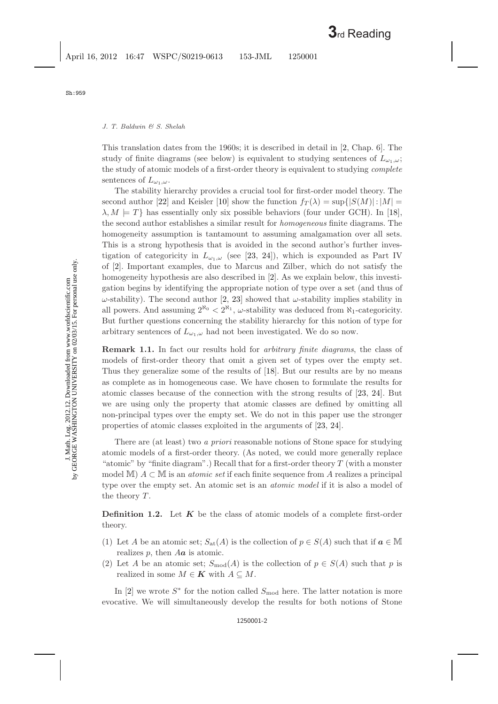This translation dates from the 1960s; it is described in detail in [\[2,](#page-17-1) Chap. 6]. The study of finite diagrams (see below) is equivalent to studying sentences of  $L_{\omega_1,\omega}$ ; the study of atomic models of a first-order theory is equivalent to studying *complete* sentences of  $L_{\omega_1,\omega}$ .

The stability hierarchy provides a crucial tool for first-order model theory. The second author [\[22\]](#page-18-0) and Keisler [\[10\]](#page-17-2) show the function  $f_T(\lambda) = \sup\{|S(M)| : |M| =$  $\lambda, M \models T$  has essentially only six possible behaviors (four under GCH). In [\[18\]](#page-17-3), the second author establishes a similar result for *homogeneous* finite diagrams. The homogeneity assumption is tantamount to assuming amalgamation over all sets. This is a strong hypothesis that is avoided in the second author's further investigation of categoricity in  $L_{\omega_1,\omega}$  (see [\[23,](#page-18-1) [24\]](#page-18-2)), which is expounded as Part IV of [\[2\]](#page-17-1). Important examples, due to Marcus and Zilber, which do not satisfy the homogeneity hypothesis are also described in [\[2\]](#page-17-1). As we explain below, this investigation begins by identifying the appropriate notion of type over a set (and thus of  $ω$ -stability). The second author [\[2,](#page-17-1) [23\]](#page-18-1) showed that  $ω$ -stability implies stability in all powers. And assuming  $2^{\aleph_0} < 2^{\aleph_1}$ ,  $\omega$ -stability was deduced from  $\aleph_1$ -categoricity. But further questions concerning the stability hierarchy for this notion of type for arbitrary sentences of  $L_{\omega_1,\omega}$  had not been investigated. We do so now.

**Remark 1.1.** In fact our results hold for *arbitrary finite diagrams*, the class of models of first-order theory that omit a given set of types over the empty set. Thus they generalize some of the results of [\[18\]](#page-17-3). But our results are by no means as complete as in homogeneous case. We have chosen to formulate the results for atomic classes because of the connection with the strong results of [\[23,](#page-18-1) [24\]](#page-18-2). But we are using only the property that atomic classes are defined by omitting all non-principal types over the empty set. We do not in this paper use the stronger properties of atomic classes exploited in the arguments of [\[23,](#page-18-1) [24\]](#page-18-2).

There are (at least) two *a priori* reasonable notions of Stone space for studying atomic models of a first-order theory. (As noted, we could more generally replace "atomic" by "finite diagram".) Recall that for a first-order theory  $T$  (with a monster model M) A ⊂ M is an *atomic set* if each finite sequence from A realizes a principal type over the empty set. An atomic set is an *atomic model* if it is also a model of the theory  $T$ .

**Definition 1.2.** Let **K** be the class of atomic models of a complete first-order theory.

- (1) Let A be an atomic set;  $S_{at}(A)$  is the collection of  $p \in S(A)$  such that if  $a \in \mathbb{M}$ realizes p, then A*a* is atomic.
- (2) Let A be an atomic set;  $S_{\text{mod}}(A)$  is the collection of  $p \in S(A)$  such that p is realized in some  $M \in \mathbf{K}$  with  $A \subseteq M$ .

In [\[2\]](#page-17-1) we wrote  $S^*$  for the notion called  $S_{\text{mod}}$  here. The latter notation is more evocative. We will simultaneously develop the results for both notions of Stone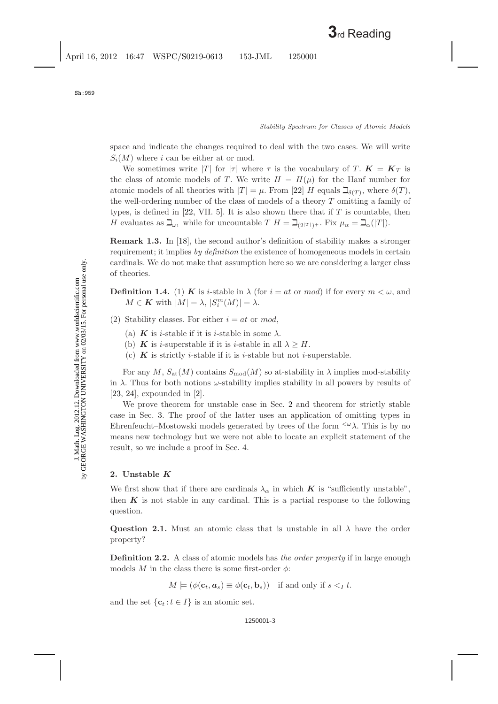space and indicate the changes required to deal with the two cases. We will write  $S_i(M)$  where i can be either at or mod.

We sometimes write |T| for  $|\tau|$  where  $\tau$  is the vocabulary of T.  $K = K_T$  is the class of atomic models of T. We write  $H = H(\mu)$  for the Hanf number for atomic models of all theories with  $|T| = \mu$ . From [\[22\]](#page-18-3) H equals  $\beth_{\delta(T)}$ , where  $\delta(T)$ , the well-ordering number of the class of models of a theory T omitting a family of types, is defined in [\[22,](#page-18-3) VII. 5]. It is also shown there that if  $T$  is countable, then H evaluates as  $\mathcal{L}_{\omega_1}$  while for uncountable  $T H = \mathcal{L}_{(2|T|)+}$ . Fix  $\mu_\alpha = \mathcal{L}_{\alpha}(|T|)$ .

**Remark 1.3.** In [\[18\]](#page-17-4), the second author's definition of stability makes a stronger requirement; it implies *by definition* the existence of homogeneous models in certain cardinals. We do not make that assumption here so we are considering a larger class of theories.

**Definition 1.4.** (1) *K* is *i*-stable in  $\lambda$  (for  $i = at$  or mod) if for every  $m < \omega$ , and  $M \in \mathbf{K}$  with  $|M| = \lambda$ ,  $|S_i^m(M)| = \lambda$ .

- (2) Stability classes. For either  $i = at$  or mod,
	- (a) **K** is *i*-stable if it is *i*-stable in some  $\lambda$ .
	- (b) **K** is *i*-superstable if it is *i*-stable in all  $\lambda \geq H$ .
	- (c)  $\boldsymbol{K}$  is strictly *i*-stable if it is *i*-stable but not *i*-superstable.

For any M,  $S_{\text{at}}(M)$  contains  $S_{\text{mod}}(M)$  so at-stability in  $\lambda$  implies mod-stability in  $\lambda$ . Thus for both notions  $\omega$ -stability implies stability in all powers by results of [\[23,](#page-18-4) [24\]](#page-18-5), expounded in [\[2\]](#page-17-5).

We prove theorem for unstable case in Sec. [2](#page-2-0) and theorem for strictly stable case in Sec. [3.](#page-7-0) The proof of the latter uses an application of omitting types in Ehrenfeucht–Mostowski models generated by trees of the form  $\langle \omega \rangle$ . This is by no means new technology but we were not able to locate an explicit statement of the result, so we include a proof in Sec. [4.](#page-12-0)

# <span id="page-2-0"></span>**2. Unstable** *K*

We first show that if there are cardinals  $\lambda_{\alpha}$  in which **K** is "sufficiently unstable", then  $K$  is not stable in any cardinal. This is a partial response to the following question.

**Question 2.1.** Must an atomic class that is unstable in all  $\lambda$  have the order property?

**Definition 2.2.** A class of atomic models has *the order property* if in large enough models M in the class there is some first-order  $\phi$ :

$$
M \models (\phi(\mathbf{c}_t, \mathbf{a}_s) \equiv \phi(\mathbf{c}_t, \mathbf{b}_s)) \text{ if and only if } s <_I t.
$$

and the set  $\{\mathbf{c}_t : t \in I\}$  is an atomic set.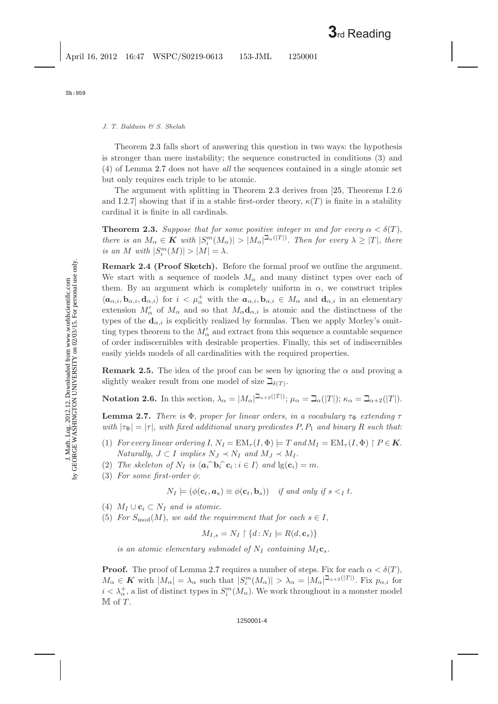Theorem [2.3](#page-3-0) falls short of answering this question in two ways: the hypothesis is stronger than mere instability; the sequence constructed in conditions (3) and (4) of Lemma [2.7](#page-3-1) does not have *all* the sequences contained in a single atomic set but only requires each triple to be atomic.

<span id="page-3-3"></span><span id="page-3-0"></span>The argument with splitting in Theorem [2.3](#page-3-0) derives from [\[25,](#page-18-6) Theorems I.2.6 and I.2.7] showing that if in a stable first-order theory,  $\kappa(T)$  is finite in a stability cardinal it is finite in all cardinals.

**Theorem 2.3.** *Suppose that for some positive integer* m and for every  $\alpha < \delta(T)$ , *there is an*  $M_{\alpha} \in K$  *with*  $|S_i^m(M_{\alpha})| > |M_{\alpha}|^{\sum_{\alpha}(|T|)}$ . Then for every  $\lambda \geq |T|$ , *there is an* M with  $|S_i^m(M)| > |M| = \lambda$ .

**Remark 2.4 (Proof Sketch).** Before the formal proof we outline the argument. We start with a sequence of models  $M_{\alpha}$  and many distinct types over each of them. By an argument which is completely uniform in  $\alpha$ , we construct triples  $\langle a_{\alpha,i}, \mathbf{b}_{\alpha,i}, \mathbf{d}_{\alpha,i} \rangle$  for  $i < \mu_{\alpha}^+$  with the  $a_{\alpha,i}, \mathbf{b}_{\alpha,i} \in M_{\alpha}$  and  $\mathbf{d}_{\alpha,i}$  in an elementary extension  $M'_\n\alpha$  of  $M_\alpha$  and so that  $M_\alpha \mathbf{d}_{\alpha,i}$  is atomic and the distinctness of the types of the  $\mathbf{d}_{\alpha,i}$  is explicitly realized by formulas. Then we apply Morley's omitting types theorem to the  $M'_\alpha$  and extract from this sequence a countable sequence of order indiscernibles with desirable properties. Finally, this set of indiscernibles easily yields models of all cardinalities with the required properties.

**Remark 2.5.** The idea of the proof can be seen by ignoring the  $\alpha$  and proving a slightly weaker result from one model of size  $\beth_{\delta(T)}$ .

<span id="page-3-2"></span><span id="page-3-1"></span>**Notation 2.6.** In this section,  $\lambda_{\alpha} = |M_{\alpha}|^{\beth_{\alpha+2}(|T|)}$ ;  $\mu_{\alpha} = \beth_{\alpha}(|T|)$ ;  $\kappa_{\alpha} = \beth_{\alpha+2}(|T|)$ .

**Lemma 2.7.** *There is*  $\Phi$ *, proper for linear orders, in a vocabulary*  $\tau_{\Phi}$  *extending*  $\tau$ *with*  $|\tau_{\Phi}| = |\tau|$ , *with fixed additional unary predicates* P, P<sub>1</sub> *and binary* R *such that:* 

- (1) *For every linear ordering*  $I, N_I = EM_\tau (I, \Phi) \models T$  and  $M_I = EM_\tau (I, \Phi) \upharpoonright P \in \mathbf{K}$ . *Naturally*,  $J \subset I$  *implies*  $N_J \prec N_I$  *and*  $M_J \prec M_I$ *.*
- (2) *The skeleton of*  $N_I$  *is*  $\langle \mathbf{a}_i \cdot \mathbf{b}_i \cdot \mathbf{c}_i : i \in I \rangle$  *and*  $\lg(\mathbf{c}_i) = m$ *.*
- (3) *For some first-order* φ:

$$
N_I \models (\phi(\mathbf{c}_t, \mathbf{a}_s) \equiv \phi(\mathbf{c}_t, \mathbf{b}_s)) \text{ if and only if } s <_I t.
$$

- (4)  $M_I \cup \mathbf{c}_i \subset N_I$  and is atomic.
- (5) For  $S_{\text{mod}}(M)$ , we add the requirement that for each  $s \in I$ ,

$$
M_{I,s} = N_I \upharpoonright \{d : N_I \models R(d, \mathbf{c}_s)\}
$$

*is an atomic elementary submodel of*  $N_I$  *containing*  $M_I$ **c**<sub>s</sub>.

**Proof.** The proof of Lemma [2.7](#page-3-1) requires a number of steps. Fix for each  $\alpha < \delta(T)$ ,  $M_{\alpha} \in \mathbf{K}$  with  $|M_{\alpha}| = \lambda_{\alpha}$  such that  $|S_i^m(M_{\alpha})| > \lambda_{\alpha} = |M_{\alpha}|^{\sum_{\alpha} 2(|T|)}$ . Fix  $p_{\alpha,i}$  for  $i < \lambda_{\alpha}^{+}$ , a list of distinct types in  $S_i^m(M_{\alpha})$ . We work throughout in a monster model  $M$  of  $T$ .

J. Math. Log. 2012.12. Downloaded from www.worldscientific.com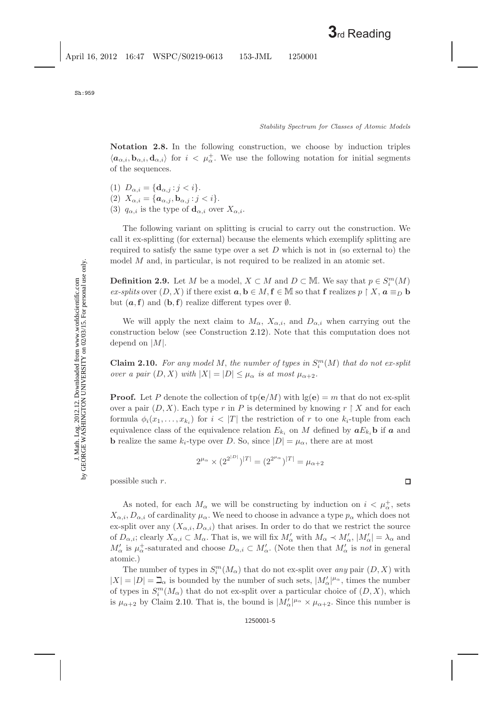J. Math. Log. 2012.12. Downloaded from www.worldscientific.com by GEORGE WASHINGTON UNIVERSITY on 02/03/15. For personal use only.

J. Math. Log. 2012.12. Downloaded from www.worldscientific.com<br>by GEORGE WASHINGTON UNIVERSITY on 02/03/15. For personal use only.

**Notation 2.8.** In the following construction, we choose by induction triples  $\langle a_{\alpha,i}, \mathbf{b}_{\alpha,i}, \mathbf{d}_{\alpha,i} \rangle$  for  $i \langle \mu_{\alpha}^+$ . We use the following notation for initial segments of the sequences.

- (1)  $D_{\alpha,i} = \{ \mathbf{d}_{\alpha,i} : j < i \}.$
- (2)  $X_{\alpha,i} = {\bf{a}_{\alpha,j}, \mathbf{b}_{\alpha,j} : j < i}.$
- (3)  $q_{\alpha,i}$  is the type of  $\mathbf{d}_{\alpha,i}$  over  $X_{\alpha,i}$ .

The following variant on splitting is crucial to carry out the construction. We call it ex-splitting (for external) because the elements which exemplify splitting are required to satisfy the same type over a set  $D$  which is not in (so external to) the model M and, in particular, is not required to be realized in an atomic set.

**Definition 2.9.** Let M be a model,  $X \subset M$  and  $D \subset M$ . We say that  $p \in S_i^m(M)$ *ex-splits* over  $(D, X)$  if there exist  $a, b \in M, f \in M$  so that **f** realizes  $p \restriction X, a \equiv_D b$ but  $(a, f)$  and  $(b, f)$  realize different types over  $\emptyset$ .

We will apply the next claim to  $M_{\alpha}$ ,  $X_{\alpha,i}$ , and  $D_{\alpha,i}$  when carrying out the construction below (see Construction [2.12\)](#page-5-0). Note that this computation does not depend on  $|M|$ .

<span id="page-4-1"></span><span id="page-4-0"></span>**Claim 2.10.** For any model M, the number of types in  $S_i^m(M)$  that do not ex-split *over a pair*  $(D, X)$  *with*  $|X| = |D| \leq \mu_{\alpha}$  *is at most*  $\mu_{\alpha+2}$ *.* 

**Proof.** Let P denote the collection of  $tp(e/M)$  with  $lg(e) = m$  that do not ex-split over a pair  $(D, X)$ . Each type r in P is determined by knowing r  $\restriction X$  and for each formula  $\phi_i(x_1,\ldots,x_{k_i})$  for  $i < |T|$  the restriction of r to one  $k_i$ -tuple from each equivalence class of the equivalence relation  $E_{k_i}$  on M defined by  $aE_{k_i}$ **b** if a and **b** realize the same  $k_i$ -type over D. So, since  $|D| = \mu_\alpha$ , there are at most

 $2^{\mu_\alpha} \times (2^{2^{|D|}})^{|T|} = (2^{2^{\mu_\alpha}})^{|T|} = \mu_{\alpha+2}$ 

possible such r.

As noted, for each  $M_{\alpha}$  we will be constructing by induction on  $i < \mu_{\alpha}^{+}$ , sets  $X_{\alpha,i}, D_{\alpha,i}$  of cardinality  $\mu_{\alpha}$ . We need to choose in advance a type  $p_{\alpha}$  which does not ex-split over any  $(X_{\alpha,i}, D_{\alpha,i})$  that arises. In order to do that we restrict the source of  $D_{\alpha,i}$ ; clearly  $X_{\alpha,i} \subset M_{\alpha}$ . That is, we will fix  $M'_{\alpha}$  with  $M_{\alpha} \prec M'_{\alpha}$ ,  $|M'_{\alpha}| = \lambda_{\alpha}$  and  $M'_\alpha$  is  $\mu^+_\alpha$ -saturated and choose  $D_{\alpha,i} \subset M'_{\alpha}$ . (Note then that  $M'_{\alpha}$  is *not* in general atomic.)

The number of types in  $S_i^m(M_\alpha)$  that do not ex-split over *any* pair  $(D, X)$  with  $|X| = |D| = \mathcal{L}_{\alpha}$  is bounded by the number of such sets,  $|M'_{\alpha}|^{\mu_{\alpha}}$ , times the number of types in  $S_i^m(M_\alpha)$  that do not ex-split over a particular choice of  $(D, X)$ , which is  $\mu_{\alpha+2}$  by Claim [2.10.](#page-4-0) That is, the bound is  $|M'_\alpha|^{\mu_\alpha} \times \mu_{\alpha+2}$ . Since this number is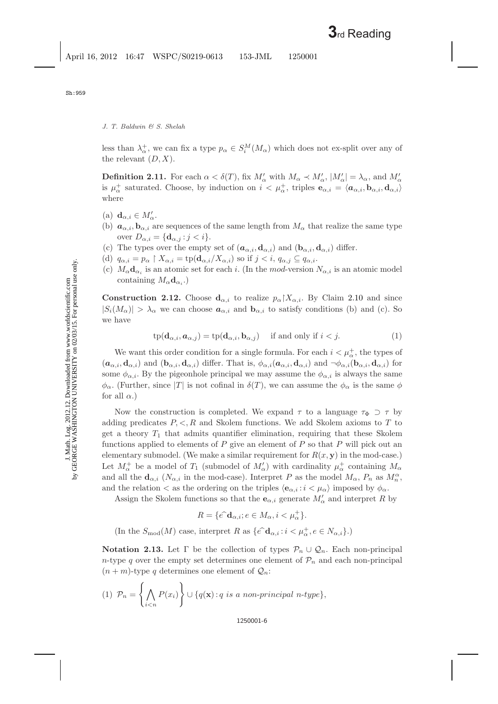less than  $\lambda_{\alpha}^{+}$ , we can fix a type  $p_{\alpha} \in S_i^M(M_{\alpha})$  which does not ex-split over any of the relevant  $(D, X)$ .

**Definition 2.11.** For each  $\alpha < \delta(T)$ , fix  $M'_\alpha$  with  $M_\alpha \prec M'_\alpha$ ,  $|M'_\alpha| = \lambda_\alpha$ , and  $M'_\alpha$ is  $\mu_{\alpha}^+$  saturated. Choose, by induction on  $i < \mu_{\alpha}^+$ , triples  $\mathbf{e}_{\alpha,i} = \langle \mathbf{a}_{\alpha,i}, \mathbf{b}_{\alpha,i}, \mathbf{d}_{\alpha,i} \rangle$ where

- (a)  $\mathbf{d}_{\alpha,i} \in M'_{\alpha}$ .
- (b)  $a_{\alpha,i}, b_{\alpha,i}$  are sequences of the same length from  $M_{\alpha}$  that realize the same type over  $D_{\alpha,i} = {\mathbf{d}_{\alpha,j} : j < i}.$
- (c) The types over the empty set of  $(a_{\alpha,i}, \mathbf{d}_{\alpha,i})$  and  $(\mathbf{b}_{\alpha,i}, \mathbf{d}_{\alpha,i})$  differ.
- (d)  $q_{\alpha,i} = p_\alpha \restriction X_{\alpha,i} = \text{tp}(\mathbf{d}_{\alpha,i}/X_{\alpha,i})$  so if  $j < i$ ,  $q_{\alpha,j} \subseteq q_{\alpha,i}$ .
- (c)  $M_{\alpha}d_{\alpha_i}$  is an atomic set for each i. (In the mod-version  $N_{\alpha,i}$  is an atomic model containing  $M_{\alpha}d_{\alpha}$ .)

<span id="page-5-0"></span>**Construction 2.12.** Choose  $\mathbf{d}_{\alpha,i}$  to realize  $p_{\alpha}|X_{\alpha,i}$ . By Claim [2.10](#page-4-1) and since  $|S_i(M_\alpha)| > \lambda_\alpha$  we can choose  $a_{\alpha,i}$  and  $b_{\alpha,i}$  to satisfy conditions (b) and (c). So we have

$$
tp(\mathbf{d}_{\alpha,i}, \mathbf{a}_{\alpha,j}) = tp(\mathbf{d}_{\alpha,i}, \mathbf{b}_{\alpha,j}) \text{ if and only if } i < j.
$$
 (1)

<span id="page-5-1"></span>We want this order condition for a single formula. For each  $i < \mu_{\alpha}^+$  , the types of  $(a_{\alpha,i}, \mathbf{d}_{\alpha,i})$  and  $(\mathbf{b}_{\alpha,i}, \mathbf{d}_{\alpha,i})$  differ. That is,  $\phi_{\alpha,i}(\mathbf{a}_{\alpha,i}, \mathbf{d}_{\alpha,i})$  and  $\neg \phi_{\alpha,i}(\mathbf{b}_{\alpha,i}, \mathbf{d}_{\alpha,i})$  for some  $\phi_{\alpha,i}$ . By the pigeonhole principal we may assume the  $\phi_{\alpha,i}$  is always the same  $\phi_{\alpha}$ . (Further, since |T| is not cofinal in  $\delta(T)$ , we can assume the  $\phi_{\alpha}$  is the same  $\phi$ for all  $\alpha$ .)

Now the construction is completed. We expand  $\tau$  to a language  $\tau_{\Phi} \supset \tau$  by adding predicates  $P, \leq, R$  and Skolem functions. We add Skolem axioms to T to get a theory  $T_1$  that admits quantifier elimination, requiring that these Skolem functions applied to elements of  $P$  give an element of  $P$  so that  $P$  will pick out an elementary submodel. (We make a similar requirement for  $R(x, y)$  in the mod-case.) Let  $M^+_\alpha$  be a model of  $T_1$  (submodel of  $M'_\alpha$ ) with cardinality  $\mu^+_\alpha$  containing  $M_\alpha$ and all the  $\mathbf{d}_{\alpha,i}$  ( $N_{\alpha,i}$  in the mod-case). Interpret P as the model  $M_{\alpha}$ ,  $P_n$  as  $M_n^{\alpha}$ , and the relation  $\langle$  as the ordering on the triples  $\langle \mathbf{e}_{\alpha,i} : i \langle \mu_\alpha \rangle$  imposed by  $\phi_\alpha$ .

Assign the Skolem functions so that the  $\mathbf{e}_{\alpha,i}$  generate  $M'_\alpha$  and interpret R by

 $R = \{e^{\widehat{}}\mathbf{d}_{\alpha,i}; e \in M_\alpha, i < \mu_\alpha^+\}.$ 

(In the  $S_{\text{mod}}(M)$  case, interpret R as  $\{e^{\hat{\sigma}} \mathbf{d}_{\alpha,i} : i \leq \mu^+_{\alpha}, e \in N_{\alpha,i}\}.$ )

**Notation 2.13.** Let  $\Gamma$  be the collection of types  $\mathcal{P}_n \cup \mathcal{Q}_n$ . Each non-principal n-type q over the empty set determines one element of  $\mathcal{P}_n$  and each non-principal  $(n+m)$ -type q determines one element of  $\mathcal{Q}_n$ :

(1) 
$$
\mathcal{P}_n = \left\{ \bigwedge_{i < n} P(x_i) \right\} \cup \{ q(\mathbf{x}) : q \text{ is a non-principal } n \text{-type} \},
$$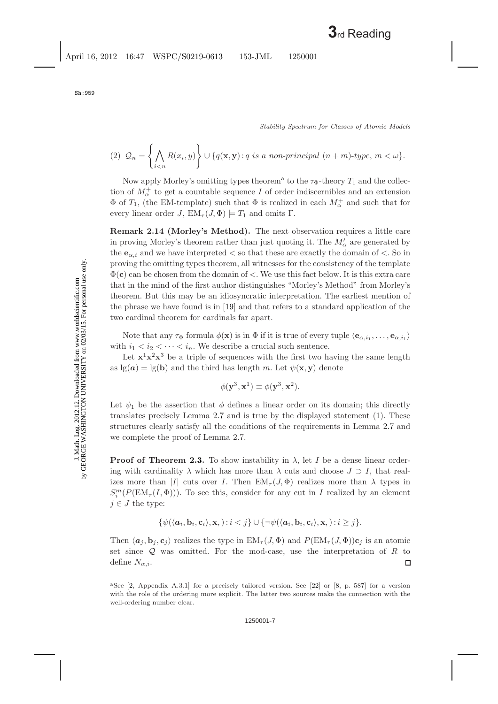*Stability Spectrum for Classes of Atomic Models*

(2) 
$$
\mathcal{Q}_n = \left\{ \bigwedge_{i < n} R(x_i, y) \right\} \cup \left\{ q(\mathbf{x}, \mathbf{y}) : q \text{ is a non-principal } (n+m)\text{-type}, m < \omega \right\}.
$$

Now [a](#page-6-0)pply Morley's omitting types theorem<sup>a</sup> to the  $\tau_{\Phi}$ -theory  $T_1$  and the collection of  $M^{\pm}_{\alpha}$  to get a countable sequence I of order indiscernibles and an extension  $\Phi$  of  $T_1$ , (the EM-template) such that  $\Phi$  is realized in each  $M^+_{\alpha}$  and such that for every linear order J,  $EM_{\tau}(J, \Phi) \models T_1$  and omits Γ.

<span id="page-6-1"></span>**Remark 2.14 (Morley's Method).** The next observation requires a little care in proving Morley's theorem rather than just quoting it. The  $M'_\alpha$  are generated by the  $e_{\alpha,i}$  and we have interpreted  $\lt$  so that these are exactly the domain of  $\lt$ . So in proving the omitting types theorem, all witnesses for the consistency of the template Φ(**c**) can be chosen from the domain of <. We use this fact below. It is this extra care that in the mind of the first author distinguishes "Morley's Method" from Morley's theorem. But this may be an idiosyncratic interpretation. The earliest mention of the phrase we have found is in [\[19\]](#page-17-6) and that refers to a standard application of the two cardinal theorem for cardinals far apart.

Note that any  $\tau_{\Phi}$  formula  $\phi(\mathbf{x})$  is in  $\Phi$  if it is true of every tuple  $\langle \mathbf{e}_{\alpha,i_1}, \ldots, \mathbf{e}_{\alpha,i_l} \rangle$ with  $i_1 < i_2 < \cdots < i_n$ . We describe a crucial such sentence.

Let  $x^1x^2x^3$  be a triple of sequences with the first two having the same length as  $\lg(a) = \lg(b)$  and the third has length m. Let  $\psi(\mathbf{x}, \mathbf{y})$  denote

$$
\phi(\mathbf{y}^3, \mathbf{x}^1) \equiv \phi(\mathbf{y}^3, \mathbf{x}^2).
$$

Let  $\psi_1$  be the assertion that  $\phi$  defines a linear order on its domain; this directly translates precisely Lemma [2.7](#page-3-2) and is true by the displayed statement [\(1\)](#page-5-1). These structures clearly satisfy all the conditions of the requirements in Lemma [2.7](#page-3-2) and we complete the proof of Lemma 2.7.

**Proof of Theorem [2.3.](#page-3-3)** To show instability in  $\lambda$ , let I be a dense linear ordering with cardinality  $\lambda$  which has more than  $\lambda$  cuts and choose  $J \supset I$ , that realizes more than |I| cuts over I. Then  $EM_{\tau}(J, \Phi)$  realizes more than  $\lambda$  types in  $S_i^m(P(\text{EM}_{\tau}(I, \Phi)))$ . To see this, consider for any cut in I realized by an element  $j \in J$  the type:

$$
\{\psi(\langle {\boldsymbol a}_i,{\boldsymbol b}_i,{\boldsymbol c}_i\rangle,{\boldsymbol x},\quad i
$$

Then  $\langle a_j, b_j, c_j \rangle$  realizes the type in  $EM_\tau(J, \Phi)$  and  $P(EM_\tau(J, \Phi))c_j$  is an atomic set since  $Q$  was omitted. For the mod-case, use the interpretation of  $R$  to define  $N_{\alpha,i}$ . □

<span id="page-6-0"></span><sup>&</sup>lt;sup>a</sup>See  $[2,$  Appendix A.3.1] for a precisely tailored version. See  $[22]$  or  $[8, p. 587]$  $[8, p. 587]$  for a version with the role of the ordering more explicit. The latter two sources make the connection with the well-ordering number clear.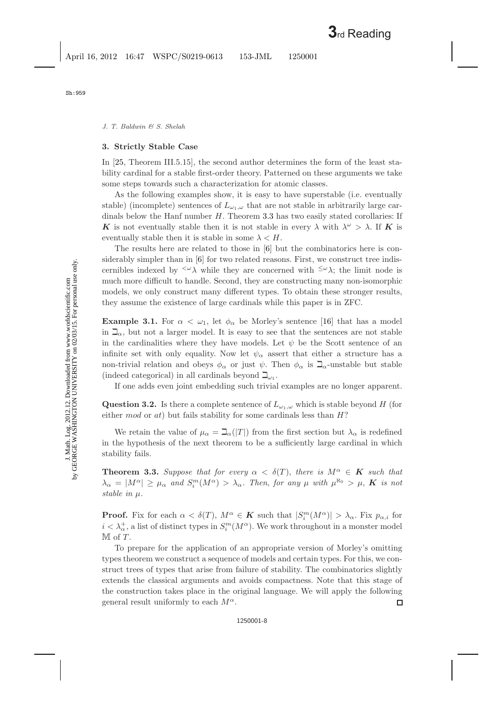J. Math. Log. 2012.12. Downloaded from www.worldscientific.com by GEORGE WASHINGTON UNIVERSITY on 02/03/15. For personal use only.

J. Math. Log. 2012.12. Downloaded from www.worldscientific.com<br>by GEORGE WASHINGTON UNIVERSITY on 02/03/15. For personal use only.

### <span id="page-7-3"></span><span id="page-7-0"></span>**3. Strictly Stable Case**

In [\[25,](#page-18-6) Theorem III.5.15], the second author determines the form of the least stability cardinal for a stable first-order theory. Patterned on these arguments we take some steps towards such a characterization for atomic classes.

As the following examples show, it is easy to have superstable (i.e. eventually stable) (incomplete) sentences of  $L_{\omega_1,\omega}$  that are not stable in arbitrarily large cardinals below the Hanf number  $H$ . Theorem [3.3](#page-7-1) has two easily stated corollaries: If **K** is not eventually stable then it is not stable in every  $\lambda$  with  $\lambda^{\omega} > \lambda$ . If **K** is eventually stable then it is stable in some  $\lambda < H$ .

The results here are related to those in [\[6\]](#page-17-8) but the combinatorics here is considerably simpler than in [\[6\]](#page-17-8) for two related reasons. First, we construct tree indiscernibles indexed by  $\langle \omega \rangle$  while they are concerned with  $\langle \omega \rangle$ ; the limit node is much more difficult to handle. Second, they are constructing many non-isomorphic models, we only construct many different types. To obtain these stronger results, they assume the existence of large cardinals while this paper is in ZFC.

**Example 3.1.** For  $\alpha < \omega_1$ , let  $\phi_\alpha$  be Morley's sentence [\[16\]](#page-17-9) that has a model in  $\mathcal{L}_{\alpha}$ , but not a larger model. It is easy to see that the sentences are not stable in the cardinalities where they have models. Let  $\psi$  be the Scott sentence of an infinite set with only equality. Now let  $\psi_{\alpha}$  assert that either a structure has a non-trivial relation and obeys  $\phi_\alpha$  or just  $\psi$ . Then  $\phi_\alpha$  is  $\Box_\alpha$ -unstable but stable (indeed categorical) in all cardinals beyond  $\Box_{\omega_1}$ .

If one adds even joint embedding such trivial examples are no longer apparent.

**Question 3.2.** Is there a complete sentence of  $L_{\omega_1,\omega}$  which is stable beyond H (for either mod or at) but fails stability for some cardinals less than  $H$ ?

We retain the value of  $\mu_{\alpha} = \mathbb{E}_{\alpha}(|T|)$  from the first section but  $\lambda_{\alpha}$  is redefined in the hypothesis of the next theorem to be a sufficiently large cardinal in which stability fails.

<span id="page-7-2"></span><span id="page-7-1"></span>**Theorem 3.3.** Suppose that for every  $\alpha < \delta(T)$ , there is  $M^{\alpha} \in K$  such that  $\lambda_{\alpha} = |M^{\alpha}| \ge \mu_{\alpha}$  and  $S_i^m(M^{\alpha}) > \lambda_{\alpha}$ . Then, for any  $\mu$  with  $\mu^{\aleph_0} > \mu$ , **K** is not *stable in*  $\mu$ *.* 

**Proof.** Fix for each  $\alpha < \delta(T)$ ,  $M^{\alpha} \in K$  such that  $|S_i^m(M^{\alpha})| > \lambda_{\alpha}$ . Fix  $p_{\alpha,i}$  for  $i < \lambda^+_{\alpha}$ , a list of distinct types in  $S_i^m(M^{\alpha})$ . We work throughout in a monster model  $M$  of  $T$ .

To prepare for the application of an appropriate version of Morley's omitting types theorem we construct a sequence of models and certain types. For this, we construct trees of types that arise from failure of stability. The combinatorics slightly extends the classical arguments and avoids compactness. Note that this stage of the construction takes place in the original language. We will apply the following general result uniformly to each  $M^{\alpha}$ . 口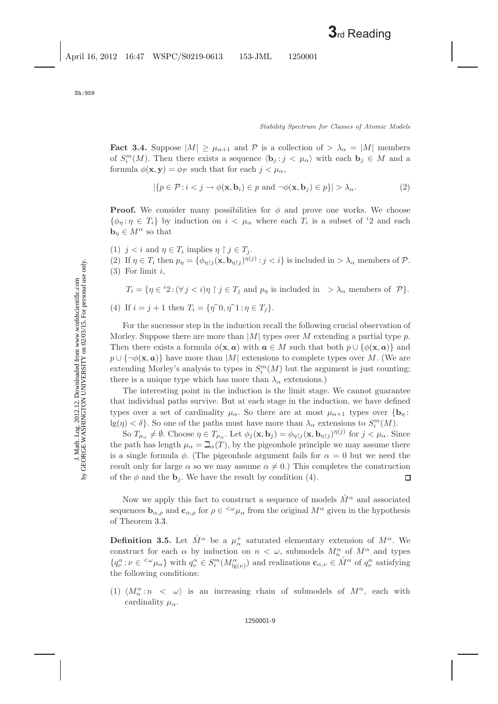<span id="page-8-0"></span>**Fact 3.4.** Suppose  $|M| \geq \mu_{\alpha+1}$  and P is a collection of  $> \lambda_{\alpha} = |M|$  members of  $S_i^m(M)$ . Then there exists a sequence  $\langle \mathbf{b}_j : j \langle \mu_\alpha \rangle$  with each  $\mathbf{b}_j \in M$  and a formula  $\phi(\mathbf{x}, \mathbf{y}) = \phi_{\mathcal{P}}$  such that for each  $j < \mu_{\alpha}$ ,

$$
|\{p \in \mathcal{P} : i < j \to \phi(\mathbf{x}, \mathbf{b}_i) \in p \text{ and } \neg \phi(\mathbf{x}, \mathbf{b}_j) \in p\}| > \lambda_\alpha. \tag{2}
$$

<span id="page-8-1"></span>**Proof.** We consider many possibilities for  $\phi$  and prove one works. We choose  $\{\phi_{\eta} : \eta \in T_i\}$  by induction on  $i < \mu_{\alpha}$  where each  $T_i$  is a subset of <sup>i</sup>2 and each  $\mathbf{b}_{\eta} \in M^{\alpha}$  so that

- (1)  $j < i$  and  $\eta \in T_i$  implies  $\eta \restriction j \in T_i$ .
- (2) If  $\eta \in T_i$  then  $p_\eta = {\phi_{\eta \upharpoonright j}(\mathbf{x}, \mathbf{b}_{\eta \upharpoonright j})^{\eta(j)}} : j < i$  is included in  $>\lambda_\alpha$  members of  $\mathcal{P}$ .  $(3)$  For limit i,

 $T_i = \{ \eta \in {^{i}2} : (\forall j < i) \eta \restriction j \in T_j \text{ and } p_\eta \text{ is included in } > \lambda_\alpha \text{ members of } \mathcal{P} \}.$ (4) If  $i = j + 1$  then  $T_i = \{\eta^0, \eta^0, \eta^1 : \eta \in T_i\}.$ 

For the successor step in the induction recall the following crucial observation of Morley. Suppose there are more than  $|M|$  types over M extending a partial type p. Then there exists a formula  $\phi(\mathbf{x}, a)$  with  $a \in M$  such that both  $p \cup \{\phi(\mathbf{x}, a)\}\$  and  $p \cup {\neg \phi(\mathbf{x}, a)}$  have more than |M| extensions to complete types over M. (We are extending Morley's analysis to types in  $S_i^m(M)$  but the argument is just counting; there is a unique type which has more than  $\lambda_{\alpha}$  extensions.)

The interesting point in the induction is the limit stage. We cannot guarantee that individual paths survive. But at each stage in the induction, we have defined types over a set of cardinality  $\mu_{\alpha}$ . So there are at most  $\mu_{\alpha+1}$  types over  ${\bf \lbrace b_n :}$  $\lg(\eta) < \delta$ . So one of the paths must have more than  $\lambda_{\alpha}$  extensions to  $S_i^m(M)$ .

So  $T_{\mu_{\alpha}} \neq \emptyset$ . Choose  $\eta \in T_{\mu_{\alpha}}$ . Let  $\phi_j(\mathbf{x}, \mathbf{b}_j) = \phi_{\eta \upharpoonright j}(\mathbf{x}, \mathbf{b}_{\eta \upharpoonright j})^{\eta(j)}$  for  $j < \mu_{\alpha}$ . Since the path has length  $\mu_{\alpha} = \mathbb{Z}_{\alpha}(T)$ , by the pigeonhole principle we may assume there is a single formula  $\phi$ . (The pigeonhole argument fails for  $\alpha = 0$  but we need the result only for large  $\alpha$  so we may assume  $\alpha \neq 0$ .) This completes the construction of the  $\phi$  and the **b**<sub>j</sub>. We have the result by condition (4).  $\Box$ 

Now we apply this fact to construct a sequence of models  $\hat{M}^{\alpha}$  and associated sequences  $\mathbf{b}_{\alpha,\rho}$  and  $\mathbf{c}_{\alpha,\rho}$  for  $\rho \in \langle \omega \rangle$  from the original  $M^{\alpha}$  given in the hypothesis of Theorem [3.3.](#page-7-2)

<span id="page-8-2"></span>**Definition 3.5.** Let  $\hat{M}^{\alpha}$  be a  $\mu_{\alpha}^{+}$  saturated elementary extension of  $M^{\alpha}$ . We construct for each  $\alpha$  by induction on  $n < \omega$ , submodels  $M_n^{\alpha}$  of  $M^{\alpha}$  and types  $\{q_{\nu}^{\alpha} : \nu \in {}^{<\omega}\mu_{\alpha}\}\$  with  $q_{\nu}^{\alpha} \in S_i^m(M_{\lg(\nu)}^{\alpha})$  and realizations  $\mathbf{c}_{\alpha,\nu} \in \hat{M}^{\alpha}$  of  $q_{\nu}^{\alpha}$  satisfying the following conditions:

(1)  $\langle M_n^{\alpha} : n \langle \omega \rangle$  is an increasing chain of submodels of  $M^{\alpha}$ , each with cardinality  $\mu_{\alpha}$ .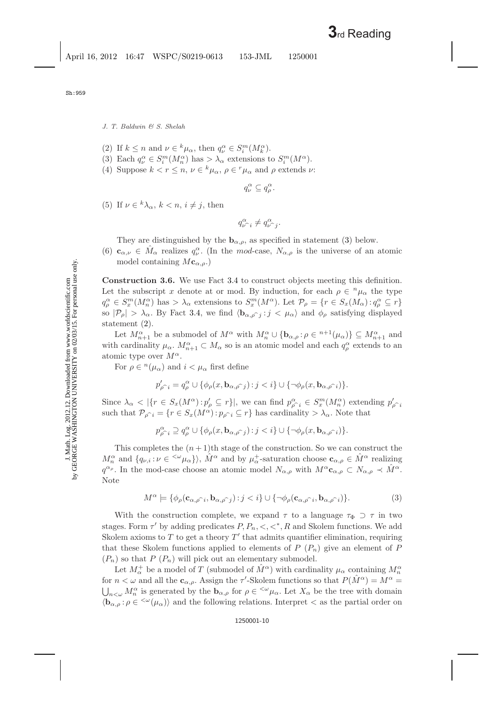- (2) If  $k \leq n$  and  $\nu \in {}^{k}\mu_{\alpha}$ , then  $q_{\nu}^{\alpha} \in S_i^m(M_k^{\alpha})$ .
- (3) Each  $q_{\nu}^{\alpha} \in S_i^m(M_n^{\alpha})$  has  $> \lambda_{\alpha}$  extensions to  $S_i^m(M^{\alpha})$ .
- (4) Suppose  $k < r \leq n$ ,  $\nu \in {}^{k}\mu_{\alpha}, \rho \in {}^{r}\mu_{\alpha}$  and  $\rho$  extends  $\nu$ :

$$
q_{\nu}^{\alpha} \subseteq q_{\rho}^{\alpha}.
$$

(5) If  $\nu \in {^k\lambda_\alpha}$ ,  $k < n$ ,  $i \neq j$ , then

$$
q_{\nu \widehat{\phantom{\alpha}} i}^{\alpha} \neq q_{\nu \widehat{\phantom{\alpha}} j}^{\alpha}.
$$

They are distinguished by the  $\mathbf{b}_{\alpha,\rho}$ , as specified in statement [\(3\)](#page-9-0) below.

(6)  $\mathbf{c}_{\alpha,\nu} \in \hat{M}_{\alpha}$  realizes  $q_{\nu}^{\alpha}$ . (In the mod-case,  $N_{\alpha,\rho}$  is the universe of an atomic model containing  $M{\bf c}_{\alpha,\rho}$ .)

<span id="page-9-2"></span>**Construction 3.6.** We use Fact [3.4](#page-8-0) to construct objects meeting this definition. Let the subscript x denote at or mod. By induction, for each  $\rho \in {}^n\mu_\alpha$  the type  $q_\rho^\alpha \in S_x^m(M_n^\alpha)$  has  $\lambda_\alpha$  extensions to  $S_x^m(M^\alpha)$ . Let  $\mathcal{P}_\rho = \{r \in S_x(M_\alpha) : q_\rho^\alpha \subseteq r\}$ so  $|\mathcal{P}_{\rho}| > \lambda_{\alpha}$ . By Fact [3.4,](#page-8-0) we find  $\langle \mathbf{b}_{\alpha,\rho} \gamma_j : j < \mu_{\alpha} \rangle$  and  $\phi_{\rho}$  satisfying displayed statement [\(2\)](#page-8-1).

Let  $M_{n+1}^{\alpha}$  be a submodel of  $M^{\alpha}$  with  $M_n^{\alpha} \cup {\bf b}_{\alpha,\rho}$ ;  $\rho \in {}^{n+1}(\mu_{\alpha})\} \subseteq M_{n+1}^{\alpha}$  and with cardinality  $\mu_{\alpha}$ .  $M_{n+1}^{\alpha} \subset M_{\alpha}$  so is an atomic model and each  $q_{\rho}^{\alpha}$  extends to an atomic type over  $M^{\alpha}$ .

For  $\rho \in {}^{n}(\mu_{\alpha})$  and  $i < \mu_{\alpha}$  first define

$$
p_{\rho \widehat{\phantom{\rho}} i}^{\prime} = q_{\rho}^{\alpha} \cup \{\phi_{\rho}(x, {\bf b}_{\alpha, \rho \widehat{\phantom{\rho}} j}) \colon \! j < i\} \cup \{\neg \phi_{\rho}(x, {\bf b}_{\alpha, \rho \widehat{\phantom{\rho}} i})\}.
$$

Since  $\lambda_{\alpha} < |\{r \in S_x(M^{\alpha}) : p_{\rho}' \subseteq r\}|$ , we can find  $p_{\rho}^{\alpha}{}_{i} \in S_x^m(M_n^{\alpha})$  extending  $p_{\rho}^{\prime}{}_{i}$ such that  $\mathcal{P}_{\rho \hat{i}} = \{r \in S_x(M^{\alpha}) : p_{\rho \hat{i}} \subseteq r\}$  has cardinality  $> \lambda_{\alpha}$ . Note that

$$
p_{\rho^{\widehat{\alpha}} i}^{\alpha} \supseteq q_{\rho}^{\alpha} \cup \{\phi_{\rho}(x,\mathbf{b}_{\alpha,\rho^{\widehat{\alpha}} j}) : j < i\} \cup \{\neg \phi_{\rho}(x,\mathbf{b}_{\alpha,\rho^{\widehat{\alpha}} i})\}.
$$

This completes the  $(n+1)$ <sup>th</sup> stage of the construction. So we can construct the  $M_n^{\alpha}$  and  $\{q_{\nu,i}: \nu \in \langle^{\omega} \mu_{\alpha}\}\rangle$ ,  $\hat{M}^{\alpha}$  and by  $\mu_{\alpha}^+$ -saturation choose  $\mathbf{c}_{\alpha,\rho} \in \hat{M}^{\alpha}$  realizing  $q^{\alpha_{\rho}}$ . In the mod-case choose an atomic model  $N_{\alpha,\rho}$  with  $M^{\alpha}c_{\alpha,\rho} \subset N_{\alpha,\rho} \prec \tilde{M}^{\alpha}$ . Note

$$
M^{\alpha} \models \{\phi_{\rho}(\mathbf{c}_{\alpha,\hat{\rho}}\hat{\phantom{\rho}}_{i},\mathbf{b}_{\alpha,\hat{\rho}}\hat{\phantom{\rho}}_{j}) : j < i\} \cup \{\neg \phi_{\rho}(\mathbf{c}_{\alpha,\hat{\rho}}\hat{\phantom{\rho}}_{i},\mathbf{b}_{\alpha,\hat{\rho}}\hat{\phantom{\rho}}_{i})\}.
$$
 (3)

<span id="page-9-1"></span><span id="page-9-0"></span>With the construction complete, we expand  $\tau$  to a language  $\tau_{\Phi} \supset \tau$  in two stages. Form  $\tau'$  by adding predicates  $P, P_n, \lt, \lt^*, R$  and Skolem functions. We add Skolem axioms to  $T$  to get a theory  $T'$  that admits quantifier elimination, requiring that these Skolem functions applied to elements of  $P(P_n)$  give an element of P  $(P_n)$  so that P  $(P_n)$  will pick out an elementary submodel.

Let  $M^+_\alpha$  be a model of  $T$  (submodel of  $\hat{M}^\alpha$ ) with cardinality  $\mu_\alpha$  containing  $M^\alpha_n$ for  $n < \omega$  and all the  $\mathbf{c}_{\alpha,\rho}$ . Assign the  $\tau'$ -Skolem functions so that  $P(\hat{M}^{\alpha}) = M^{\alpha} =$  $\bigcup_{n<\omega}M_n^{\alpha}$  is generated by the  $\mathbf{b}_{\alpha,\rho}$  for  $\rho \in \langle^{\omega}\mu_{\alpha}$ . Let  $X_{\alpha}$  be the tree with domain  $\langle \mathbf{b}_{\alpha,\rho} : \rho \in \langle \omega(\mu_\alpha) \rangle$  and the following relations. Interpret  $\langle \mathbf{a}_\alpha \rangle$  as the partial order on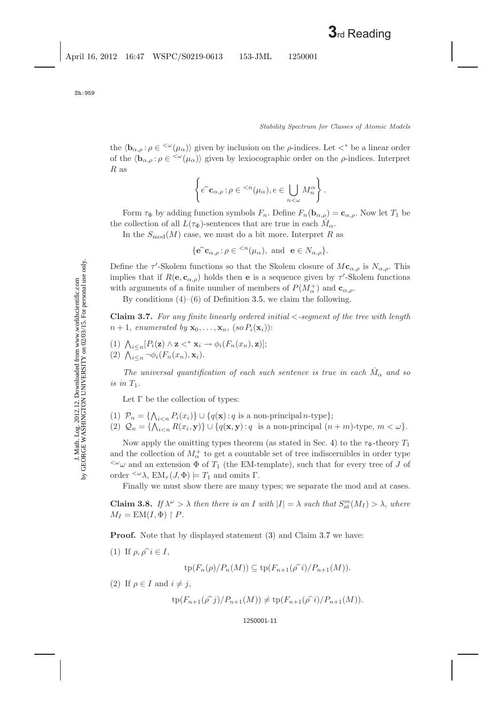the  $\langle \mathbf{b}_{\alpha,\rho} : \rho \in \langle \omega(\mu_{\alpha}) \rangle$  given by inclusion on the *ρ*-indices. Let  $\langle * \rangle$  be a linear order of the  $\langle \mathbf{b}_{\alpha,\rho} : \rho \in \langle^{\omega}(\mu_{\alpha}) \rangle$  given by lexiocographic order on the  $\rho$ -indices. Interpret  $R$  as

$$
\left\{ e^{\widehat{\boldsymbol{\cdot}}} \mathbf{c}_{\alpha,\rho} : \rho \in {}^{
$$

Form  $\tau_{\Phi}$  by adding function symbols  $F_n$ . Define  $F_n(\mathbf{b}_{\alpha,\rho}) = \mathbf{c}_{\alpha,\rho}$ . Now let  $T_1$  be the collection of all  $L(\tau_{\Phi})$ -sentences that are true in each  $M_{\alpha}$ .

In the  $S_{mod}(M)$  case, we must do a bit more. Interpret R as

$$
\{\mathbf e^{\hat{c}}\mathbf c_{\alpha,\rho}\colon\rho\in{}^{
$$

Define the  $\tau'$ -Skolem functions so that the Skolem closure of  $M\mathbf{c}_{\alpha,\rho}$  is  $N_{\alpha,\rho}$ . This implies that if  $R(\mathbf{e}, \mathbf{c}_{\alpha,\rho})$  holds then **e** is a sequence given by  $\tau'$ -Skolem functions with arguments of a finite number of members of  $P(M_\alpha^+)$  and  $\mathbf{c}_{\alpha,\rho}.$ 

By conditions  $(4)$ – $(6)$  of Definition [3.5,](#page-8-2) we claim the following.

<span id="page-10-0"></span>**Claim 3.7.** *For any finite linearly ordered initial* <*-segment of the tree with length*  $n+1$ , *enumerated by*  $\mathbf{x}_0, \ldots, \mathbf{x}_n$ ,  $(so P_i(\mathbf{x}_i))$ :

(1)  $\bigwedge_{i \leq n} [P_i(\mathbf{z}) \wedge \mathbf{z} \prec^* \mathbf{x}_i \rightarrow \phi_i(F_n(x_n), \mathbf{z})];$ (2)  $\bigwedge_{i \leq n} \neg \phi_i(F_n(x_n), \mathbf{x}_i)$ *.* 

*The universal quantification of each such sentence is true in each*  $\hat{M}_{\alpha}$  and so *is in*  $T_1$ .

Let  $\Gamma$  be the collection of types:

(1)  $\mathcal{P}_n = \{\bigwedge_{i \leq n} P_i(x_i)\} \cup \{q(\mathbf{x}) : q \text{ is a non-principal } n\text{-type}\};$ (2)  $Q_n = \{ \bigwedge_{i \leq n} R(x_i, \mathbf{y}) \} \cup \{ q(\mathbf{x}, \mathbf{y}) : q \text{ is a non-principal } (n+m)\text{-type}, m < \omega \}.$ 

Now apply the omitting types theorem (as stated in Sec. [4\)](#page-12-0) to the  $\tau_{\Phi}$ -theory  $T_1$ and the collection of  $M^+_\alpha$  to get a countable set of tree indiscernibles in order type  $\sim$ ω and an extension Φ of T<sub>1</sub> (the EM-template), such that for every tree of J of order  $\langle \omega \lambda, \text{EM}_{\tau}(J, \Phi) \rangle = T_1$  and omits Γ.

Finally we must show there are many types; we separate the mod and at cases.

<span id="page-10-1"></span>**Claim 3.8.** *If*  $\lambda^{\omega} > \lambda$  *then there is an I with*  $|I| = \lambda$  *such that*  $S_{\text{at}}^{m}(M_{I}) > \lambda$ *, where*  $M_I = EM(I, \Phi) \upharpoonright P$ .

**Proof.** Note that by displayed statement [\(3\)](#page-9-1) and Claim [3.7](#page-10-0) we have:

(1) If  $\rho, \rho \hat{\imath} \in I$ ,

$$
\operatorname{tp}(F_n(\rho)/P_n(M)) \subseteq \operatorname{tp}(F_{n+1}(\widehat{\rho\circ i})/P_{n+1}(M)).
$$

(2) If  $\rho \in I$  and  $i \neq j$ ,

$$
tp(F_{n+1}(\hat{\rho\ j})/P_{n+1}(M)) \neq tp(F_{n+1}(\hat{\rho\ i})/P_{n+1}(M)).
$$

## 1250001-11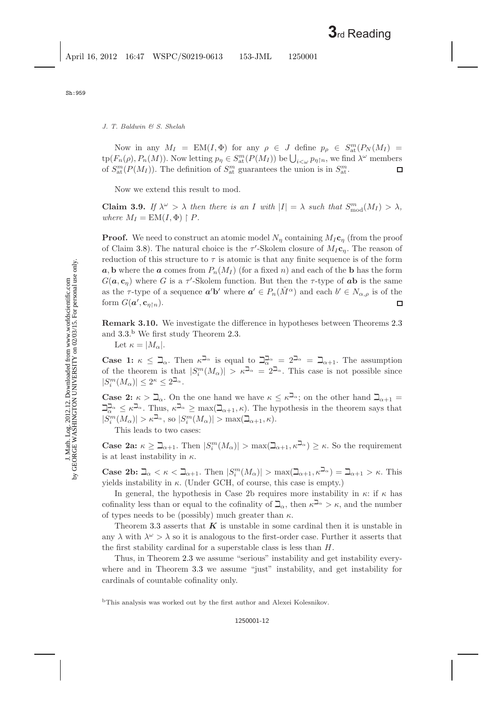Now in any  $M_I = EM(I, \Phi)$  for any  $\rho \in J$  define  $p_\rho \in S_{\rm at}^m(P_N(M_I))$  $\text{tp}(F_n(\rho), P_n(M))$ . Now letting  $p_\eta \in S^m_{\text{at}}(P(M_I))$  be  $\bigcup_{i<\omega} p_{\eta\restriction n}$ , we find  $\lambda^{\omega}$  members of  $S_{\text{at}}^{m}(P(M_{I}))$ . The definition of  $S_{\text{at}}^{m}$  guarantees the union is in  $S_{\text{at}}^{m}$ .  $\Box$ 

Now we extend this result to mod.

**Claim 3.9.** *If*  $\lambda^{\omega} > \lambda$  *then there is an I with*  $|I| = \lambda$  *such that*  $S_{\text{mod}}^{m}(M_{I}) > \lambda$ *, where*  $M_I = EM(I, \Phi) \upharpoonright P$ *.* 

**Proof.** We need to construct an atomic model  $N_n$  containing  $M_I$ **c**<sub>n</sub> (from the proof of Claim [3.8\)](#page-10-1). The natural choice is the  $\tau'$ -Skolem closure of  $M_I c_\eta$ . The reason of reduction of this structure to  $\tau$  is atomic is that any finite sequence is of the form  $a, b$  where the *a* comes from  $P_n(M_I)$  (for a fixed *n*) and each of the **b** has the form  $G(\boldsymbol{a}, \mathbf{c}_\eta)$  where G is a  $\tau$ -Skolem function. But then the  $\tau$ -type of  $\boldsymbol{a}$ **b** is the same as the  $\tau$ -type of a sequence  $a'b'$  where  $a' \in P_n(\hat{M}^{\alpha})$  and each  $b' \in N_{\alpha,\rho}$  is of the form  $G(\boldsymbol{a}', \mathbf{c}_{\eta\upharpoonright n})$ . □

**Remark 3.10.** We investigate the difference in hypotheses between Theorems [2.3](#page-3-0) and [3.3.](#page-7-1) [b](#page-11-0) We first study Theorem [2.3.](#page-3-0)

Let  $\kappa = |M_{\alpha}|$ .

**Case 1:**  $\kappa \leq \beth_{\alpha}$ . Then  $\kappa^{\beth_{\alpha}}$  is equal to  $\beth_{\alpha}^{\beth_{\alpha}} = 2^{\beth_{\alpha}} = \beth_{\alpha+1}$ . The assumption of the theorem is that  $|S_i^m(M_\alpha)| > \kappa^{\beth_\alpha} = 2^{\beth_\alpha}$ . This case is not possible since  $|S_i^m(M_\alpha)| \leq 2^{\kappa} \leq 2^{\beth_\alpha}.$ 

**Case 2:**  $\kappa > \mathbb{Z}_{\alpha}$ . On the one hand we have  $\kappa \leq \kappa^{\mathbb{Z}_{\alpha}}$ ; on the other hand  $\mathbb{Z}_{\alpha+1}$  $\Box_{\alpha}^{\Box_{\alpha}} \leq \kappa^{\Box_{\alpha}}$ . Thus,  $\kappa^{\Box_{\alpha}} \geq \max(\Box_{\alpha+1}, \kappa)$ . The hypothesis in the theorem says that  $|S_i^m(M_\alpha)| > \kappa^{\beth_\alpha}$ , so  $|S_i^m(M_\alpha)| > \max(\beth_{\alpha+1}, \kappa)$ .

This leads to two cases:

**Case 2a:**  $\kappa \geq \mathbb{Z}_{\alpha+1}$ . Then  $|S_i^m(M_\alpha)| > \max(\mathbb{Z}_{\alpha+1}, \kappa^{\mathbb{Z}_{\alpha}}) \geq \kappa$ . So the requirement is at least instability in  $\kappa$ .

**Case 2b:**  $\mathbb{Z}_{\alpha} < \kappa < \mathbb{Z}_{\alpha+1}$ . Then  $|S_i^m(M_{\alpha})| > \max(\mathbb{Z}_{\alpha+1}, \kappa^{\mathbb{Z}_{\alpha}}) = \mathbb{Z}_{\alpha+1} > \kappa$ . This yields instability in  $\kappa$ . (Under GCH, of course, this case is empty.)

In general, the hypothesis in Case 2b requires more instability in  $\kappa$ : if  $\kappa$  has cofinality less than or equal to the cofinality of  $\mathbb{Z}_{\alpha}$ , then  $\kappa^{\mathbb{Z}_{\alpha}} > \kappa$ , and the number of types needs to be (possibly) much greater than  $\kappa$ .

Theorem [3.3](#page-7-1) asserts that *K* is unstable in some cardinal then it is unstable in any  $\lambda$  with  $\lambda^{\omega} > \lambda$  so it is analogous to the first-order case. Further it asserts that the first stability cardinal for a superstable class is less than H.

Thus, in Theorem [2.3](#page-3-0) we assume "serious" instability and get instability every-where and in Theorem [3.3](#page-7-1) we assume "just" instability, and get instability for cardinals of countable cofinality only.

<span id="page-11-0"></span><sup>b</sup>This analysis was worked out by the first author and Alexei Kolesnikov.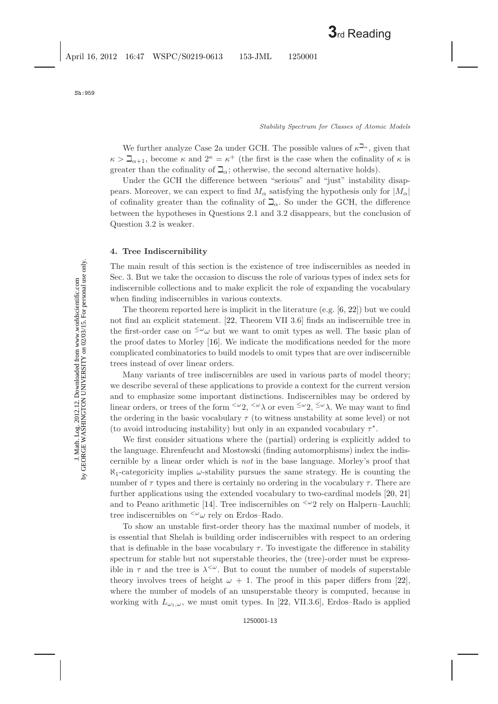We further analyze Case 2a under GCH. The possible values of  $\kappa^{\mathbb{Z}_{\alpha}}$ , given that  $\kappa > \mathbb{Z}_{\alpha+1}$ , become  $\kappa$  and  $2^{\kappa} = \kappa^+$  (the first is the case when the cofinality of  $\kappa$  is greater than the cofinality of  $\mathbb{Z}_{\alpha}$ ; otherwise, the second alternative holds).

Under the GCH the difference between "serious" and "just" instability disappears. Moreover, we can expect to find  $M_{\alpha}$  satisfying the hypothesis only for  $|M_{\alpha}|$ of cofinality greater than the cofinality of  $\mathbb{Z}_{\alpha}$ . So under the GCH, the difference between the hypotheses in Questions 2.1 and 3.2 disappears, but the conclusion of Question 3.2 is weaker.

# <span id="page-12-0"></span>**4. Tree Indiscernibility**

The main result of this section is the existence of tree indiscernibles as needed in Sec. 3. But we take the occasion to discuss the role of various types of index sets for indiscernible collections and to make explicit the role of expanding the vocabulary when finding indiscernibles in various contexts.

The theorem reported here is implicit in the literature (e.g. [\[6,](#page-17-10) [22\]](#page-18-3)) but we could not find an explicit statement. [\[22,](#page-18-3) Theorem VII 3.6] finds an indiscernible tree in the first-order case on  $\leq^{\omega} \omega$  but we want to omit types as well. The basic plan of the proof dates to Morley [\[16\]](#page-17-11). We indicate the modifications needed for the more complicated combinatorics to build models to omit types that are over indiscernible trees instead of over linear orders.

Many variants of tree indiscernibles are used in various parts of model theory; we describe several of these applications to provide a context for the current version and to emphasize some important distinctions. Indiscernibles may be ordered by linear orders, or trees of the form  $\langle \omega_2, \langle \omega \rangle$  or even  $\langle \omega_2, \langle \omega \rangle$ . We may want to find the ordering in the basic vocabulary  $\tau$  (to witness unstability at some level) or not (to avoid introducing instability) but only in an expanded vocabulary  $\tau^*$ .

We first consider situations where the (partial) ordering is explicitly added to the language. Ehrenfeucht and Mostowski (finding automorphisms) index the indiscernible by a linear order which is *not* in the base language. Morley's proof that  $\aleph_1$ -categoricity implies  $\omega$ -stability pursues the same strategy. He is counting the number of  $\tau$  types and there is certainly no ordering in the vocabulary  $\tau$ . There are further applications using the extended vocabulary to two-cardinal models [\[20,](#page-17-12) [21\]](#page-17-13) and to Peano arithmetic [\[14\]](#page-17-14). Tree indiscernibles on  $\leq \omega_2$  rely on Halpern–Lauchli; tree indiscernibles on  $\langle \omega \rangle$  rely on Erdos–Rado.

To show an unstable first-order theory has the maximal number of models, it is essential that Shelah is building order indiscernibles with respect to an ordering that is definable in the base vocabulary  $\tau$ . To investigate the difference in stability spectrum for stable but not superstable theories, the (tree)-order must be expressible in  $\tau$  and the tree is  $\lambda^{<\omega}$ . But to count the number of models of superstable theory involves trees of height  $\omega + 1$ . The proof in this paper differs from [\[22\]](#page-18-3), where the number of models of an unsuperstable theory is computed, because in working with  $L_{\omega_1,\omega}$ , we must omit types. In [\[22,](#page-18-3) VII.3.6], Erdos–Rado is applied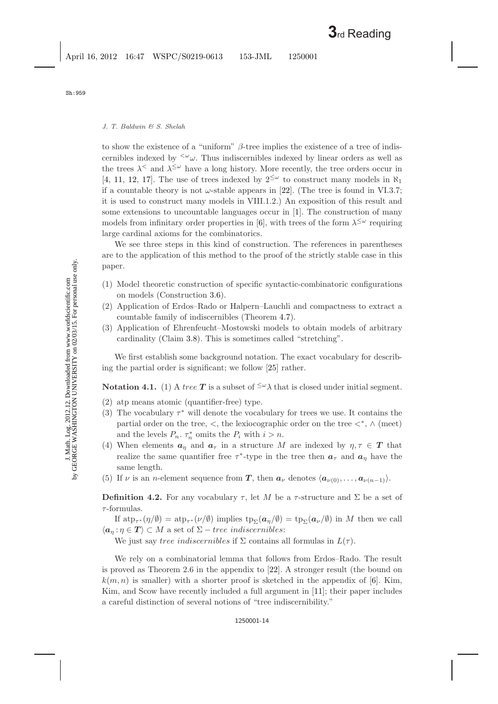to show the existence of a "uniform"  $\beta$ -tree implies the existence of a tree of indiscernibles indexed by  $\langle \omega \rangle$ . Thus indiscernibles indexed by linear orders as well as the trees  $\lambda^{\leq}$  and  $\lambda^{\leq \omega}$  have a long history. More recently, the tree orders occur in [\[4,](#page-17-15) [11,](#page-17-16) [12,](#page-17-17) [17\]](#page-17-18). The use of trees indexed by  $2^{\leq \omega}$  to construct many models in  $\aleph_1$ if a countable theory is not  $\omega$ -stable appears in [\[22\]](#page-18-0). (The tree is found in VI.3.7; it is used to construct many models in VIII.1.2.) An exposition of this result and some extensions to uncountable languages occur in [\[1\]](#page-17-19). The construction of many models from infinitary order properties in [\[6\]](#page-17-8), with trees of the form  $\lambda^{\leq \omega}$  requiring large cardinal axioms for the combinatorics.

We see three steps in this kind of construction. The references in parentheses are to the application of this method to the proof of the strictly stable case in this paper.

- (1) Model theoretic construction of specific syntactic-combinatoric configurations on models (Construction [3.6\)](#page-9-2).
- (2) Application of Erdos–Rado or Halpern–Lauchli and compactness to extract a countable family of indiscernibles (Theorem [4.7\)](#page-15-0).
- (3) Application of Ehrenfeucht–Mostowski models to obtain models of arbitrary cardinality (Claim [3.8\)](#page-10-1). This is sometimes called "stretching".

<span id="page-13-0"></span>We first establish some background notation. The exact vocabulary for describing the partial order is significant; we follow [\[25\]](#page-18-6) rather.

**Notation 4.1.** (1) A tree **T** is a subset of  $\leq \omega \lambda$  that is closed under initial segment.

- (2) atp means atomic (quantifier-free) type.
- (3) The vocabulary  $\tau^*$  will denote the vocabulary for trees we use. It contains the partial order on the tree,  $\lt$ , the lexiocographic order on the tree  $\lt^*, \land$  (meet) and the levels  $P_n$ .  $\tau_n^*$  omits the  $P_i$  with  $i>n$ .
- (4) When elements  $a_{\eta}$  and  $a_{\tau}$  in a structure M are indexed by  $\eta, \tau \in T$  that realize the same quantifier free  $\tau^*$ -type in the tree then  $a_{\tau}$  and  $a_{\eta}$  have the same length.
- (5) If  $\nu$  is an *n*-element sequence from *T*, then  $a_{\nu}$  denotes  $\langle a_{\nu(0)},..., a_{\nu(n-1)} \rangle$ .

**Definition 4.2.** For any vocabulary  $\tau$ , let M be a  $\tau$ -structure and  $\Sigma$  be a set of  $\tau$ -formulas.

If  $\text{atp}_{\tau^*}(\eta/\emptyset) = \text{atp}_{\tau^*}(\nu/\emptyset)$  implies  $\text{tp}_{\Sigma}(\boldsymbol{a}_n/\emptyset) = \text{tp}_{\Sigma}(\boldsymbol{a}_{\nu}/\emptyset)$  in M then we call  $\langle \boldsymbol{a}_n : \eta \in \boldsymbol{T} \rangle \subset M$  a set of  $\Sigma$  – tree indiscernibles:

We just say tree indiscernibles if  $\Sigma$  contains all formulas in  $L(\tau)$ .

We rely on a combinatorial lemma that follows from Erdos–Rado. The result is proved as Theorem 2.6 in the appendix to [\[22\]](#page-18-0). A stronger result (the bound on  $k(m, n)$  is smaller) with a shorter proof is sketched in the appendix of [\[6\]](#page-17-8). Kim, Kim, and Scow have recently included a full argument in [\[11\]](#page-17-16); their paper includes a careful distinction of several notions of "tree indiscernibility."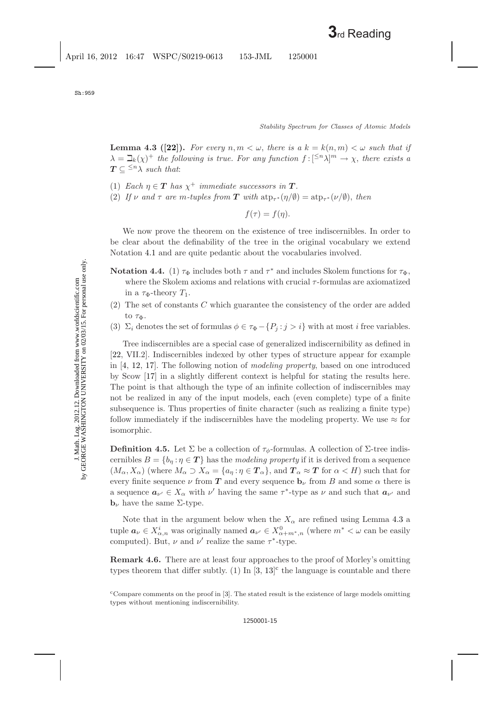<span id="page-14-0"></span>**Lemma 4.3 ([\[22\]](#page-18-3)**). For every  $n, m < \omega$ , there is a  $k = k(n, m) < \omega$  such that if  $\lambda = \mathbb{L}_k(\chi)^+$  *the following is true. For any function*  $f: [\leq^n \lambda]^m \to \chi$ *, there exists a*  $T \subseteq \leq^n \lambda$  *such that:* 

- (1) *Each*  $\eta \in \mathbf{T}$  *has*  $\chi^+$  *immediate successors in*  $\mathbf{T}$ *.*
- (2) *If*  $\nu$  *and*  $\tau$  *are m*-tuples from *T* with  $\text{atp}_{\tau^*}(\eta/\emptyset) = \text{atp}_{\tau^*}(\nu/\emptyset)$ , then

 $f(\tau) = f(\eta).$ 

We now prove the theorem on the existence of tree indiscernibles. In order to be clear about the definability of the tree in the original vocabulary we extend Notation [4.1](#page-13-0) and are quite pedantic about the vocabularies involved.

- <span id="page-14-2"></span>**Notation 4.4.** (1)  $\tau_{\Phi}$  includes both  $\tau$  and  $\tau^*$  and includes Skolem functions for  $\tau_{\Phi}$ , where the Skolem axioms and relations with crucial  $\tau$ -formulas are axiomatized in a  $\tau_{\Phi}$ -theory  $T_1$ .
- (2) The set of constants C which guarantee the consistency of the order are added to  $\tau_{\Phi}$ .
- (3)  $\Sigma_i$  denotes the set of formulas  $\phi \in \tau_{\Phi} \{P_j : j > i\}$  with at most i free variables.

Tree indiscernibles are a special case of generalized indiscernibility as defined in [\[22,](#page-18-3) VII.2]. Indiscernibles indexed by other types of structure appear for example in [\[4,](#page-17-20) [12,](#page-17-21) [17\]](#page-17-22). The following notion of *modeling property*, based on one introduced by Scow [\[17\]](#page-17-22) in a slightly different context is helpful for stating the results here. The point is that although the type of an infinite collection of indiscernibles may not be realized in any of the input models, each (even complete) type of a finite subsequence is. Thus properties of finite character (such as realizing a finite type) follow immediately if the indiscernibles have the modeling property. We use  $\approx$  for isomorphic.

**Definition 4.5.** Let  $\Sigma$  be a collection of  $\tau_{\phi}$ -formulas. A collection of  $\Sigma$ -tree indiscernibles  $B = \{b_n : n \in \mathbf{T}\}\$  has the *modeling property* if it is derived from a sequence  $(M_\alpha, X_\alpha)$  (where  $M_\alpha \supset X_\alpha = \{a_\eta : \eta \in \mathcal{T}_\alpha\}$ , and  $\mathcal{T}_\alpha \approx \mathcal{T}$  for  $\alpha < H$ ) such that for every finite sequence  $\nu$  from *T* and every sequence  $\mathbf{b}_{\nu}$  from B and some  $\alpha$  there is a sequence  $a_{\nu} \in X_\alpha$  with  $\nu'$  having the same  $\tau^*$ -type as  $\nu$  and such that  $a_{\nu'}$  and **<sub>ν</sub> have the same Σ-type.** 

Note that in the argument below when the  $X_{\alpha}$  are refined using Lemma [4.3](#page-14-0) a tuple  $a_{\nu} \in X_{\alpha,n}^i$  was originally named  $a_{\nu'} \in X_{\alpha+m^*,n}^0$  (where  $m^* < \omega$  can be easily computed). But,  $\nu$  and  $\nu'$  realize the same  $\tau^*$ -type.

**Remark 4.6.** There are at least four approaches to the proof of Morley's omitting types theorem that differ subtly. (1) In  $[3, 13]$  $[3, 13]$  $[3, 13]$ <sup>[c](#page-14-1)</sup> the language is countable and there

<span id="page-14-1"></span><sup>c</sup>Compare comments on the proof in [\[3\]](#page-17-23). The stated result is the existence of large models omitting types without mentioning indiscernibility.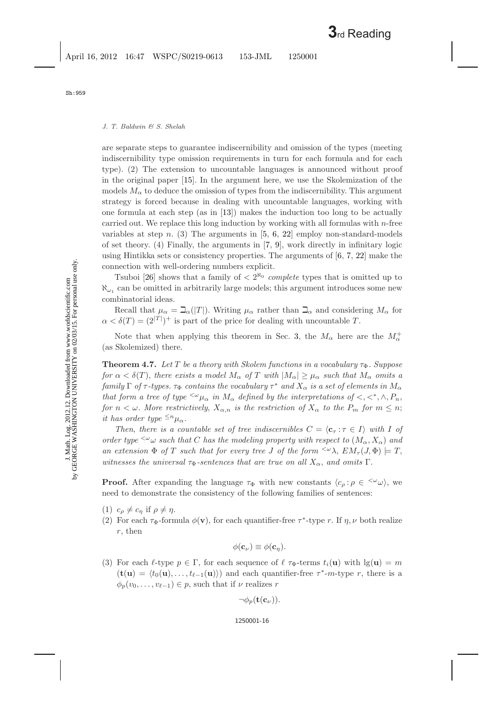are separate steps to guarantee indiscernibility and omission of the types (meeting indiscernibility type omission requirements in turn for each formula and for each type). (2) The extension to uncountable languages is announced without proof in the original paper [\[15\]](#page-17-25). In the argument here, we use the Skolemization of the models  $M_{\alpha}$  to deduce the omission of types from the indiscernibility. This argument strategy is forced because in dealing with uncountable languages, working with one formula at each step (as in [\[13\]](#page-17-26)) makes the induction too long to be actually carried out. We replace this long induction by working with all formulas with  $n$ -free variables at step n. (3) The arguments in  $[5, 6, 22]$  $[5, 6, 22]$  $[5, 6, 22]$  $[5, 6, 22]$  $[5, 6, 22]$  employ non-standard-models of set theory. (4) Finally, the arguments in [\[7,](#page-17-28) [9\]](#page-17-29), work directly in infinitary logic using Hintikka sets or consistency properties. The arguments of [\[6,](#page-17-8) [7,](#page-17-28) [22\]](#page-18-0) make the connection with well-ordering numbers explicit.

Tsuboi [\[26\]](#page-18-7) shows that a family of  $\langle 2^{N_0} \text{ complete types that is omitted up to}$  $\aleph_{\omega_1}$  can be omitted in arbitrarily large models; this argument introduces some new combinatorial ideas.

Recall that  $\mu_{\alpha} = \mathbb{E}_{\alpha}(|T|)$ . Writing  $\mu_{\alpha}$  rather than  $\mathbb{E}_{\alpha}$  and considering  $M_{\alpha}$  for  $\alpha < \delta(T) = (2^{|T|})^+$  is part of the price for dealing with uncountable T.

<span id="page-15-1"></span><span id="page-15-0"></span>Note that when applying this theorem in Sec. [3,](#page-7-3) the  $M_{\alpha}$  here are the  $M_{\alpha}^{+}$ (as Skolemized) there.

**Theorem 4.7.** Let T be a theory with Skolem functions in a vocabulary  $\tau_{\Phi}$ . Suppose *for*  $\alpha < \delta(T)$ , *there exists a model*  $M_{\alpha}$  *of* T *with*  $|M_{\alpha}| \geq \mu_{\alpha}$  *such that*  $M_{\alpha}$  *omits a family*  $\Gamma$  *of*  $\tau$ -types.  $\tau_{\Phi}$  *contains the vocabulary*  $\tau^*$  *and*  $X_{\alpha}$  *is a set of elements in*  $M_{\alpha}$ *that form a tree of type*  $\langle \omega \rangle_{\mu_\alpha}$  *in*  $M_\alpha$  *defined by the interpretations of*  $\langle \langle \cdot, \cdot \rangle^*, P_n, P_n \rangle$ *for*  $n < \omega$ *. More restrictively,*  $X_{\alpha,n}$  *is the restriction of*  $X_{\alpha}$  *to the*  $P_m$  *for*  $m \leq n$ ; *it has order type*  $\leq^n \mu_\alpha$ .

*Then, there is a countable set of tree indiscernibles*  $C = \langle \mathbf{c}_{\tau} : \tau \in I \rangle$  with I of *order type*  $\leq^{\omega} \omega$  *such that* C *has the modeling property with respect to*  $(M_{\alpha}, X_{\alpha})$  *and an extension*  $\Phi$  *of* T *such that for every tree* J *of the form*  $\langle \omega \rangle$ ,  $EM_{\tau}(J, \Phi) \models T$ , *witnesses the universal*  $\tau_{\Phi}$ -sentences that are true on all  $X_{\alpha}$ , and omits  $\Gamma$ .

**Proof.** After expanding the language  $\tau_{\Phi}$  with new constants  $\langle c_{\rho} : \rho \in \langle \omega_{\omega} \rangle$ , we need to demonstrate the consistency of the following families of sentences:

- (1)  $c_{\rho} \neq c_{\eta}$  if  $\rho \neq \eta$ .
- (2) For each  $\tau_{\Phi}$ -formula  $\phi(\mathbf{v})$ , for each quantifier-free  $\tau^*$ -type r. If  $\eta, \nu$  both realize r, then

$$
\phi(\mathbf{c}_{\nu}) \equiv \phi(\mathbf{c}_{\eta}).
$$

(3) For each  $\ell$ -type  $p \in \Gamma$ , for each sequence of  $\ell \tau_{\Phi}$ -terms  $t_i(\mathbf{u})$  with  $\lg(\mathbf{u}) = m$  $(\mathbf{t}(\mathbf{u}) = \langle t_0(\mathbf{u}), \ldots, t_{\ell-1}(\mathbf{u}) \rangle)$  and each quantifier-free  $\tau^*$ -m-type r, there is a  $\phi_p(v_0,\ldots,v_{\ell-1}) \in p$ , such that if  $\nu$  realizes r

$$
\neg \phi_p(\mathbf{t}(\mathbf{c}_{\nu})).
$$

Sh:959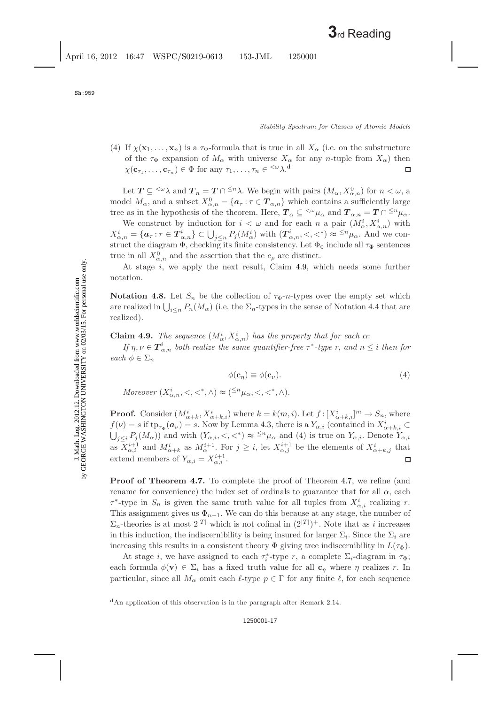(4) If  $\chi(\mathbf{x}_1,\ldots,\mathbf{x}_n)$  is a  $\tau_\Phi$ -formula that is true in all  $X_\alpha$  (i.e. on the substructure of the  $\tau_{\Phi}$  expansion of  $M_{\alpha}$  with universe  $X_{\alpha}$  for any n-tuple from  $X_{\alpha}$ ) then  $\chi(\mathbf{c}_{\tau_1}, \ldots, \mathbf{c}_{\tau_n}) \in \Phi$  $\chi(\mathbf{c}_{\tau_1}, \ldots, \mathbf{c}_{\tau_n}) \in \Phi$  $\chi(\mathbf{c}_{\tau_1}, \ldots, \mathbf{c}_{\tau_n}) \in \Phi$  for any  $\tau_1, \ldots, \tau_n \in \langle \omega \rangle$ .<sup>d</sup> □

Let  $T \subseteq \langle \omega \rangle$  and  $T_n = T \cap \langle n \rangle$ . We begin with pairs  $(M_\alpha, X_{\alpha,n}^0)$  for  $n < \omega$ , a model  $M_{\alpha}$ , and a subset  $X_{\alpha,n}^0 = \{ \mathbf{a}_{\tau} : \tau \in \mathbf{T}_{\alpha,n} \}$  which contains a sufficiently large tree as in the hypothesis of the theorem. Here,  $T_{\alpha} \subseteq \langle^{\omega} \mu_{\alpha} \text{ and } T_{\alpha,n} = T \cap \langle^{\leq n} \mu_{\alpha} \rangle$ .

We construct by induction for  $i < \omega$  and for each n a pair  $(M^i_\alpha, X^i_{\alpha,n})$  with  $X^i_{\alpha,n} = \{a_\tau : \tau \in \mathbf{T}^i_{\alpha,n}\} \subset \bigcup_{j \leq n} P_j(M^i_\alpha)$  with  $(\mathbf{T}^i_{\alpha,n}, \langle \cdot, \cdot \rangle) \approx \frac{\langle \cdot \rangle n}{\alpha} \mathbf{\mu}_\alpha$ . And we construct the diagram  $\Phi$ , checking its finite consistency. Let  $\Phi_0$  include all  $\tau_{\Phi}$  sentences true in all  $X^0_{\alpha,n}$  and the assertion that the  $c_\rho$  are distinct.

At stage i, we apply the next result, Claim [4.9,](#page-16-1) which needs some further notation.

**Notation 4.8.** Let  $S_n$  be the collection of  $\tau_{\Phi}$ -*n*-types over the empty set which are realized in  $\bigcup_{i\leq n} P_n(M_\alpha)$  (i.e. the  $\Sigma_n$ -types in the sense of Notation [4.4](#page-14-2) that are realized).

<span id="page-16-1"></span>**Claim 4.9.** *The sequence*  $(M^i_\alpha, X^i_{\alpha,n})$  *has the property that for each*  $\alpha$ :

*If*  $\eta, \nu \in \mathbf{T}_{\alpha,n}^i$  *both realize the same quantifier-free*  $\tau^*$ -type r, and  $n \leq i$  *then for each*  $\phi \in \Sigma_n$ 

$$
\phi(\mathbf{c}_{\eta}) \equiv \phi(\mathbf{c}_{\nu}).\tag{4}
$$

<span id="page-16-2"></span>*Moreover*  $(X_{\alpha,n}^i, <, <^*, \wedge) \approx (\leq^n \mu_\alpha, <, <^*, \wedge)$ *.* 

**Proof.** Consider  $(M^i_{\alpha+k}, X^i_{\alpha+k,i})$  where  $k = k(m, i)$ . Let  $f: [X^i_{\alpha+k,i}]^m \to S_n$ , where  $f(\nu) = s$  if  $tp_{\tau_{\Phi}}(\boldsymbol{a}_{\nu}) = s$ . Now by Lemma [4.3,](#page-14-0) there is a  $Y_{\alpha,i}$  (contained in  $X_{\alpha+k,i}^i \subset$  $\bigcup_{j\leq i} P_j(M_\alpha)\big)$  and with  $(Y_{\alpha,i}, \leq, \leq^*)\approx \frac{\leq^n \mu_\alpha}{\alpha}$  and [\(4\)](#page-16-2) is true on  $Y_{\alpha,i}$ . Denote  $Y_{\alpha,i}$ as  $X^{i+1}_{\alpha,i}$  and  $M^i_{\alpha+k}$  as  $M^{i+1}_{\alpha}$ . For  $j \geq i$ , let  $X^{i+1}_{\alpha,j}$  be the elements of  $X^i_{\alpha+k,j}$  that extend members of  $Y_{\alpha,i} = X_{\alpha,i}^{i+1}$ .  $\Box$ 

**Proof of Theorem [4.7.](#page-15-1)** To complete the proof of Theorem [4.7,](#page-15-1) we refine (and rename for convenience) the index set of ordinals to guarantee that for all  $\alpha$ , each  $\tau^*$ -type in  $S_n$  is given the same truth value for all tuples from  $X^i_{\alpha,i}$  realizing r. This assignment gives us  $\Phi_{n+1}$ . We can do this because at any stage, the number of  $\Sigma_n$ -theories is at most  $2^{|T|}$  which is not cofinal in  $(2^{|T|})^+$ . Note that as i increases in this induction, the indiscernibility is being insured for larger  $\Sigma_i$ . Since the  $\Sigma_i$  are increasing this results in a consistent theory  $\Phi$  giving tree indiscernibility in  $L(\tau_{\Phi})$ .

At stage *i*, we have assigned to each  $\tau_i^*$ -type *r*, a complete  $\Sigma_i$ -diagram in  $\tau_{\Phi}$ ; each formula  $\phi(\mathbf{v}) \in \Sigma_i$  has a fixed truth value for all  $\mathbf{c}_\eta$  where  $\eta$  realizes r. In particular, since all  $M_{\alpha}$  omit each  $\ell$ -type  $p \in \Gamma$  for any finite  $\ell$ , for each sequence

<span id="page-16-0"></span><sup>&</sup>lt;sup>d</sup>An application of this observation is in the paragraph after Remark [2.14.](#page-6-1)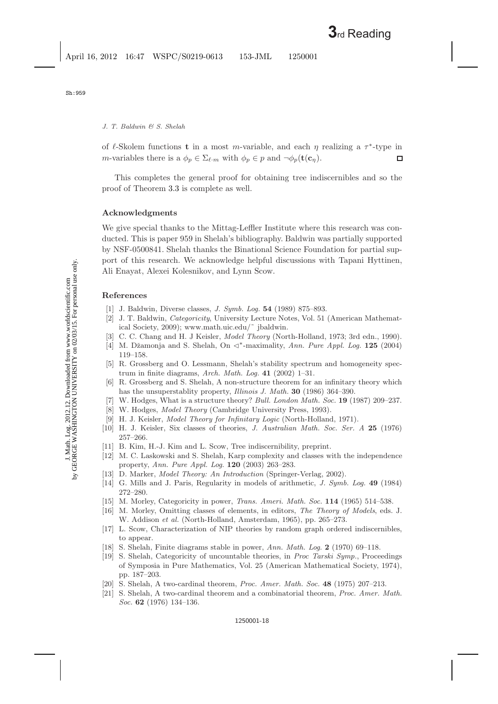of  $\ell$ -Skolem functions **t** in a most *m*-variable, and each  $\eta$  realizing a  $\tau^*$ -type in *m*-variables there is a  $\phi_p \in \Sigma_{\ell,m}$  with  $\phi_p \in p$  and  $\neg \phi_p(\mathbf{t}(\mathbf{c}_\eta))$ .  $\Box$ 

This completes the general proof for obtaining tree indiscernibles and so the proof of Theorem [3.3](#page-7-1) is complete as well.

#### **Acknowledgments**

We give special thanks to the Mittag-Leffler Institute where this research was conducted. This is paper 959 in Shelah's bibliography. Baldwin was partially supported by NSF-0500841. Shelah thanks the Binational Science Foundation for partial support of this research. We acknowledge helpful discussions with Tapani Hyttinen, Ali Enayat, Alexei Kolesnikov, and Lynn Scow.

#### <span id="page-17-19"></span><span id="page-17-5"></span><span id="page-17-1"></span><span id="page-17-0"></span>**References**

- [1] J. Baldwin, Diverse classes, *J. Symb. Log.* **54** (1989) 875–893.
- [2] J. T. Baldwin, *Categoricity*, University Lecture Notes, Vol. 51 (American Mathematical Society, 2009); www.math.uic.edu/˜ jbaldwin.
- <span id="page-17-23"></span><span id="page-17-20"></span><span id="page-17-15"></span>[3] C. C. Chang and H. J Keisler, *Model Theory* (North-Holland, 1973; 3rd edn., 1990).
- [4] M. Džamonja and S. Shelah, On  $\lhd^*$ -maximality, *Ann. Pure Appl. Log.* **125** (2004) 119–158.
- <span id="page-17-27"></span>[5] R. Grossberg and O. Lessmann, Shelah's stability spectrum and homogeneity spectrum in finite diagrams, *Arch. Math. Log.* **41** (2002) 1–31.
- <span id="page-17-10"></span><span id="page-17-8"></span>[6] R. Grossberg and S. Shelah, A non-structure theorem for an infinitary theory which has the unsuperstablity property, *Illinois J. Math.* **30** (1986) 364–390.
- <span id="page-17-28"></span><span id="page-17-7"></span>[7] W. Hodges, What is a structure theory? *Bull. London Math. Soc.* **19** (1987) 209–237.
- [8] W. Hodges, *Model Theory* (Cambridge University Press, 1993).
- [9] H. J. Keisler, *Model Theory for Infinitary Logic* (North-Holland, 1971).
- <span id="page-17-29"></span><span id="page-17-16"></span><span id="page-17-2"></span>[10] H. J. Keisler, Six classes of theories, *J. Australian Math. Soc. Ser. A* **25** (1976) 257–266.
- <span id="page-17-21"></span><span id="page-17-17"></span>[11] B. Kim, H.-J. Kim and L. Scow, Tree indiscernibility, preprint.
- [12] M. C. Laskowski and S. Shelah, Karp complexity and classes with the independence property, *Ann. Pure Appl. Log.* **120** (2003) 263–283.
- <span id="page-17-26"></span><span id="page-17-24"></span><span id="page-17-14"></span>[13] D. Marker, *Model Theory: An Introduction* (Springer-Verlag, 2002).
- <span id="page-17-25"></span>[14] G. Mills and J. Paris, Regularity in models of arithmetic, *J. Symb. Log.* **49** (1984) 272–280.
- <span id="page-17-11"></span><span id="page-17-9"></span>[15] M. Morley, Categoricity in power, *Trans. Ameri. Math. Soc.* **114** (1965) 514–538.
- [16] M. Morley, Omitting classes of elements, in editors, *The Theory of Models*, eds. J. W. Addison *et al.* (North-Holland, Amsterdam, 1965), pp. 265–273.
- <span id="page-17-22"></span><span id="page-17-18"></span>[17] L. Scow, Characterization of NIP theories by random graph ordered indiscernibles, to appear.
- <span id="page-17-6"></span><span id="page-17-4"></span><span id="page-17-3"></span>[18] S. Shelah, Finite diagrams stable in power, *Ann. Math. Log.* **2** (1970) 69–118.
- [19] S. Shelah, Categoricity of uncountable theories, in *Proc Tarski Symp.*, Proceedings of Symposia in Pure Mathematics, Vol. 25 (American Mathematical Society, 1974), pp. 187–203.
- <span id="page-17-13"></span><span id="page-17-12"></span>[20] S. Shelah, A two-cardinal theorem, *Proc. Amer. Math. Soc.* **48** (1975) 207–213.
- [21] S. Shelah, A two-cardinal theorem and a combinatorial theorem, *Proc. Amer. Math. Soc.* **62** (1976) 134–136.